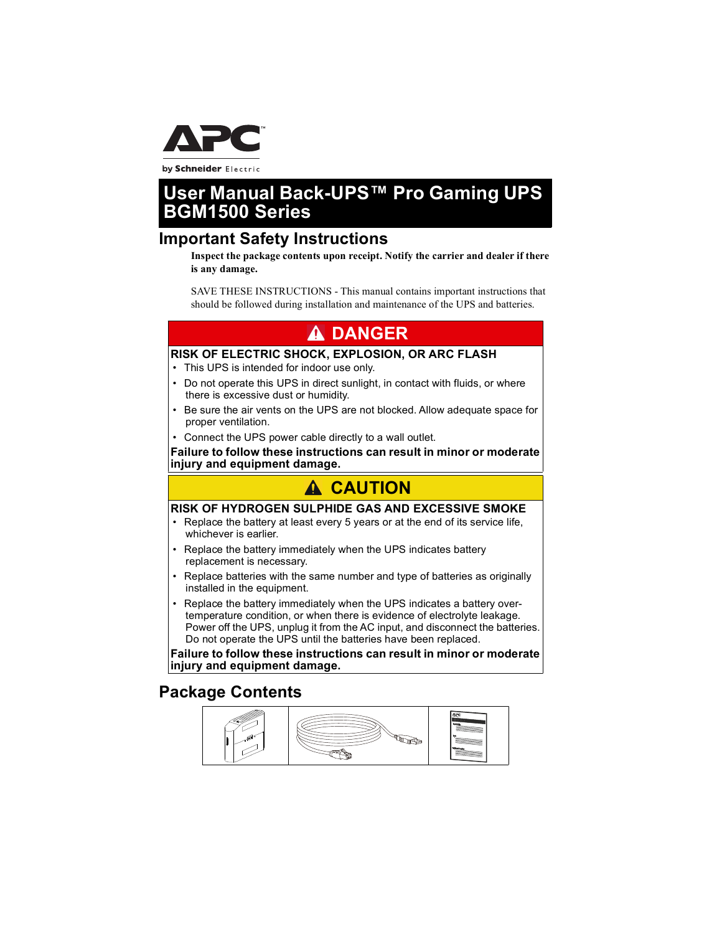

by Schneider Electric

# **User Manual Back-UPS™ Pro Gaming UPS BGM1500 Series**

### **Important Safety Instructions**

**Inspect the package contents upon receipt. Notify the carrier and dealer if there is any damage.**

SAVE THESE INSTRUCTIONS - This manual contains important instructions that should be followed during installation and maintenance of the UPS and batteries.

# **A DANGER**

#### **RISK OF ELECTRIC SHOCK, EXPLOSION, OR ARC FLASH**

- This UPS is intended for indoor use only.
- Do not operate this UPS in direct sunlight, in contact with fluids, or where there is excessive dust or humidity.
- Be sure the air vents on the UPS are not blocked. Allow adequate space for proper ventilation.
- Connect the UPS power cable directly to a wall outlet.

**Failure to follow these instructions can result in minor or moderate injury and equipment damage.**

# **CAUTION**

#### **RISK OF HYDROGEN SULPHIDE GAS AND EXCESSIVE SMOKE**

- Replace the battery at least every 5 years or at the end of its service life, whichever is earlier.
- Replace the battery immediately when the UPS indicates battery replacement is necessary.
- Replace batteries with the same number and type of batteries as originally installed in the equipment.
- Replace the battery immediately when the UPS indicates a battery overtemperature condition, or when there is evidence of electrolyte leakage. Power off the UPS, unplug it from the AC input, and disconnect the batteries. Do not operate the UPS until the batteries have been replaced.

**Failure to follow these instructions can result in minor or moderate injury and equipment damage.**

### **Package Contents**

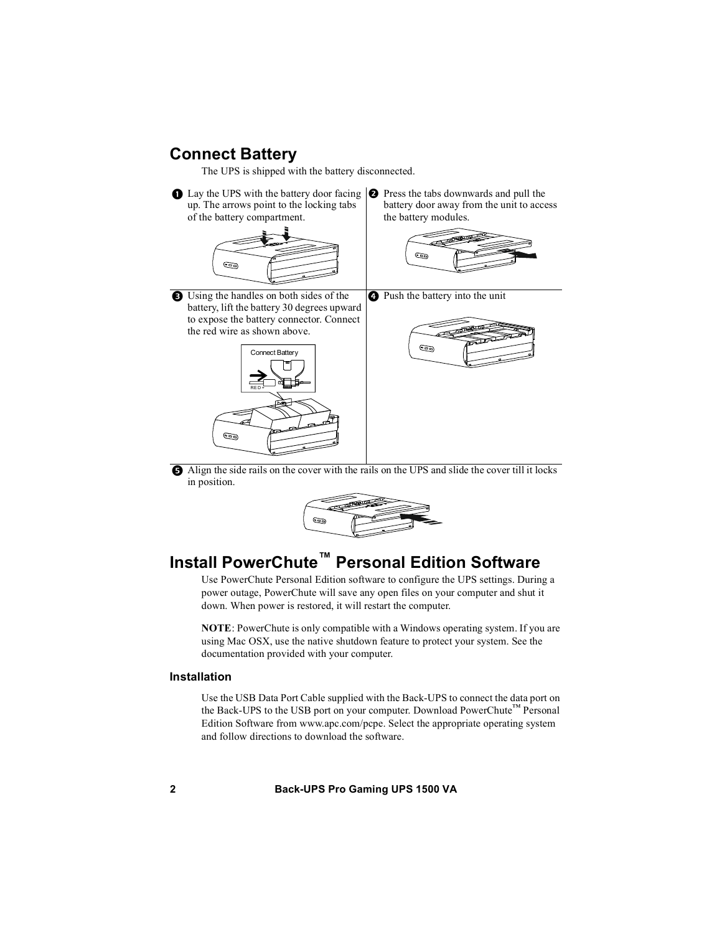### **Connect Battery**

The UPS is shipped with the battery disconnected.

 $\bullet$  Lay the UPS with the battery door facing  $\bullet$  Press the tabs downwards and pull the up. The arrows point to the locking tabs of the battery compartment.



 Using the handles on both sides of the battery, lift the battery 30 degrees upward to expose the battery connector. Connect the red wire as shown above.



battery door away from the unit to access the battery modules.







 Align the side rails on the cover with the rails on the UPS and slide the cover till it locks in position.



# **Install PowerChute™ Personal Edition Software**

Use PowerChute Personal Edition software to configure the UPS settings. During a power outage, PowerChute will save any open files on your computer and shut it down. When power is restored, it will restart the computer.

**NOTE**: PowerChute is only compatible with a Windows operating system. If you are using Mac OSX, use the native shutdown feature to protect your system. See the documentation provided with your computer.

#### **Installation**

Use the USB Data Port Cable supplied with the Back-UPS to connect the data port on the Back-UPS to the USB port on your computer. Download PowerChute™ Personal Edition Software from www.apc.com/pcpe. Select the appropriate operating system and follow directions to download the software.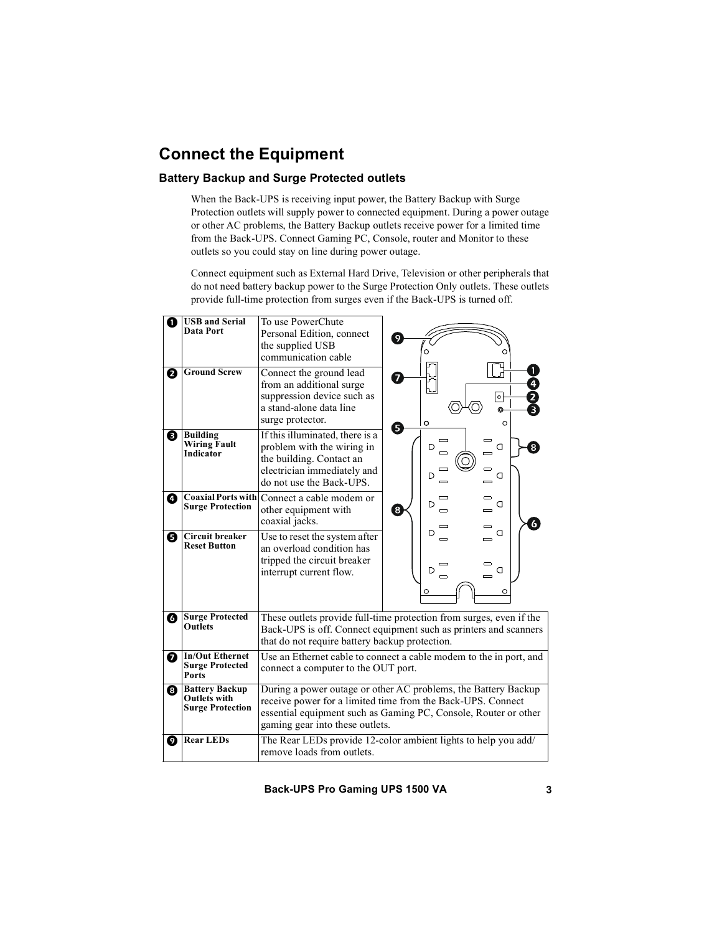# **Connect the Equipment**

#### **Battery Backup and Surge Protected outlets**

When the Back-UPS is receiving input power, the Battery Backup with Surge Protection outlets will supply power to connected equipment. During a power outage or other AC problems, the Battery Backup outlets receive power for a limited time from the Back-UPS. Connect Gaming PC, Console, router and Monitor to these outlets so you could stay on line during power outage.

Connect equipment such as External Hard Drive, Television or other peripherals that do not need battery backup power to the Surge Protection Only outlets. These outlets provide full-time protection from surges even if the Back-UPS is turned off.

| Ω | <b>USB and Serial</b><br>Data Port                                      | To use PowerChute<br>Personal Edition, connect<br>the supplied USB<br>communication cable                                                                                                                                           | 9<br>O<br>Ο                                                                               |  |
|---|-------------------------------------------------------------------------|-------------------------------------------------------------------------------------------------------------------------------------------------------------------------------------------------------------------------------------|-------------------------------------------------------------------------------------------|--|
| 0 | <b>Ground Screw</b>                                                     | Connect the ground lead<br>from an additional surge<br>suppression device such as<br>a stand-alone data line<br>surge protector.                                                                                                    | $\mathbf{1}$<br>$\overline{ }$<br>0<br>$\frac{2}{3}$<br>아<br>ര<br>$\circ$<br>$\circ$<br>6 |  |
| ❸ | <b>Building</b><br><b>Wiring Fault</b><br>Indicator                     | If this illuminated, there is a<br>problem with the wiring in<br>the building. Contact an<br>electrician immediately and<br>do not use the Back-UPS.                                                                                | $\overline{\phantom{0}}$<br>D<br>a<br>8<br>D<br>a                                         |  |
| Đ | <b>Surge Protection</b>                                                 | <b>Coaxial Ports with Connect a cable modem or</b><br>other equipment with<br>coaxial jacks.                                                                                                                                        | a<br>D<br>8<br>6                                                                          |  |
| 0 | Circuit breaker<br><b>Reset Button</b>                                  | Use to reset the system after<br>an overload condition has<br>tripped the circuit breaker<br>interrupt current flow.                                                                                                                | D<br>a<br>D<br>a<br>$\equiv$<br>O<br>O                                                    |  |
| ❻ | <b>Surge Protected</b><br><b>Outlets</b>                                | These outlets provide full-time protection from surges, even if the<br>Back-UPS is off. Connect equipment such as printers and scanners<br>that do not require battery backup protection.                                           |                                                                                           |  |
| 0 | <b>In/Out Ethernet</b><br><b>Surge Protected</b><br>Ports               | Use an Ethernet cable to connect a cable modem to the in port, and<br>connect a computer to the OUT port.                                                                                                                           |                                                                                           |  |
| ❸ | <b>Battery Backup</b><br><b>Outlets with</b><br><b>Surge Protection</b> | During a power outage or other AC problems, the Battery Backup<br>receive power for a limited time from the Back-UPS. Connect<br>essential equipment such as Gaming PC, Console, Router or other<br>gaming gear into these outlets. |                                                                                           |  |
| Ø | <b>Rear LEDs</b>                                                        | The Rear LEDs provide 12-color ambient lights to help you add/<br>remove loads from outlets.                                                                                                                                        |                                                                                           |  |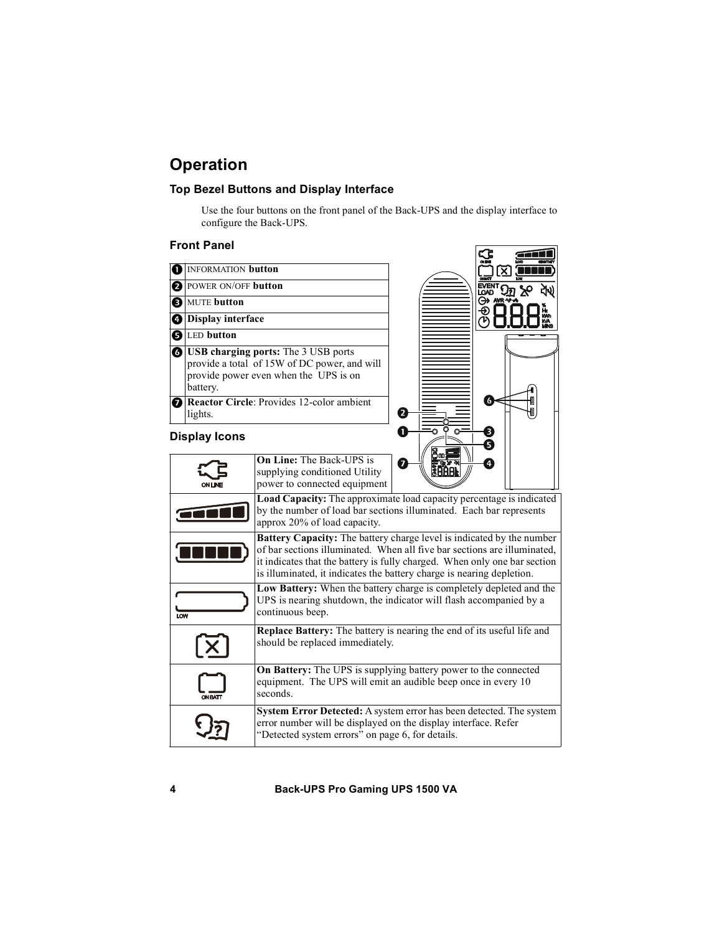# **Operation**

#### **Top Bezel Buttons and Display Interface**

Use the four buttons on the front panel of the Back-UPS and the display interface to configure the Back-UPS.

#### **Front Panel**

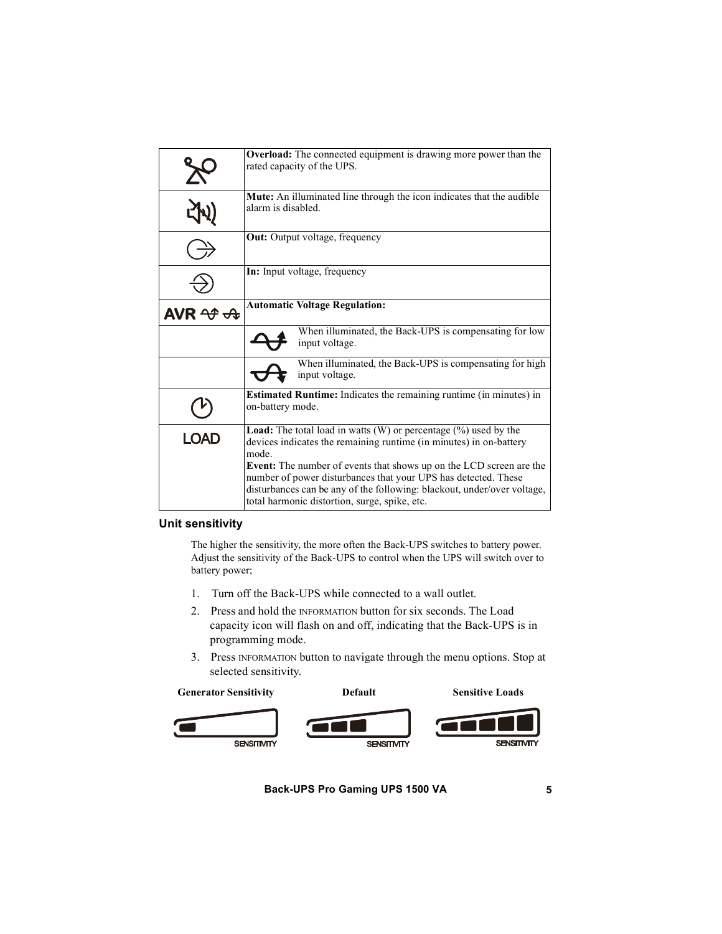|                                                     | Overload: The connected equipment is drawing more power than the<br>rated capacity of the UPS.                                                                                                                                                                           |  |  |
|-----------------------------------------------------|--------------------------------------------------------------------------------------------------------------------------------------------------------------------------------------------------------------------------------------------------------------------------|--|--|
|                                                     | Mute: An illuminated line through the icon indicates that the audible<br>alarm is disabled.                                                                                                                                                                              |  |  |
|                                                     | <b>Out:</b> Output voltage, frequency                                                                                                                                                                                                                                    |  |  |
|                                                     | <b>In:</b> Input voltage, frequency                                                                                                                                                                                                                                      |  |  |
| AVR $\mathcal{\rightarrow}$ $\mathcal{\rightarrow}$ | <b>Automatic Voltage Regulation:</b>                                                                                                                                                                                                                                     |  |  |
|                                                     | When illuminated, the Back-UPS is compensating for low<br>input voltage.                                                                                                                                                                                                 |  |  |
|                                                     | When illuminated, the Back-UPS is compensating for high<br>input voltage.                                                                                                                                                                                                |  |  |
|                                                     | Estimated Runtime: Indicates the remaining runtime (in minutes) in<br>on-battery mode.                                                                                                                                                                                   |  |  |
| <b>LOAD</b>                                         | <b>Load:</b> The total load in watts $(W)$ or percentage $(\%)$ used by the<br>devices indicates the remaining runtime (in minutes) in on-battery<br>mode.                                                                                                               |  |  |
|                                                     | <b>Event:</b> The number of events that shows up on the LCD screen are the<br>number of power disturbances that your UPS has detected. These<br>disturbances can be any of the following: blackout, under/over voltage,<br>total harmonic distortion, surge, spike, etc. |  |  |

#### **Unit sensitivity**

The higher the sensitivity, the more often the Back-UPS switches to battery power. Adjust the sensitivity of the Back-UPS to control when the UPS will switch over to battery power;

- 1. Turn off the Back-UPS while connected to a wall outlet.
- 2. Press and hold the INFORMATION button for six seconds. The Load capacity icon will flash on and off, indicating that the Back-UPS is in programming mode.
- 3. Press INFORMATION button to navigate through the menu options. Stop at selected sensitivity.

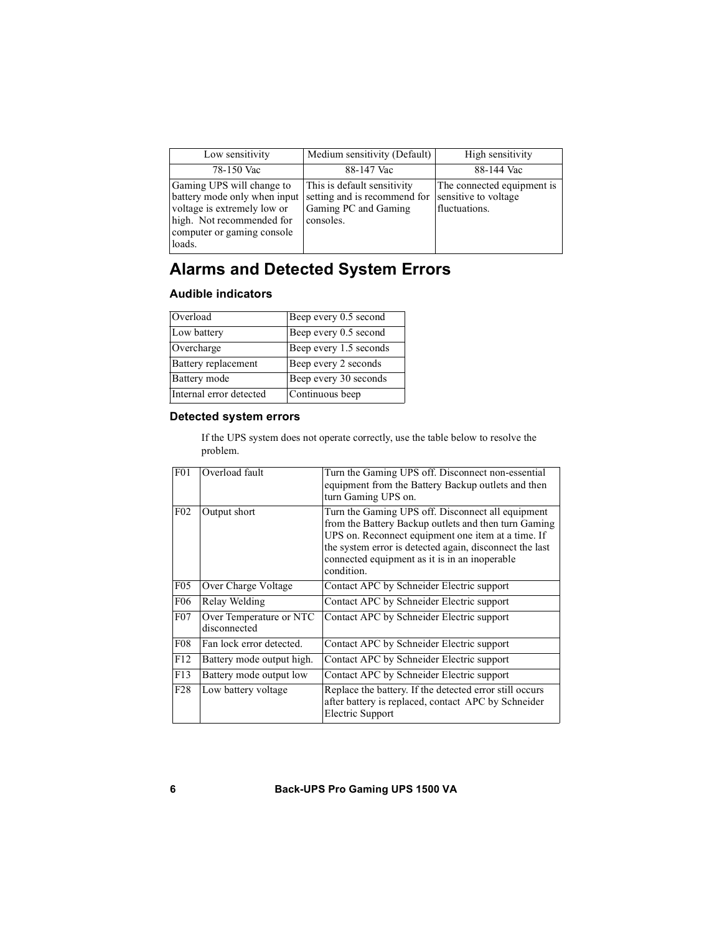| Low sensitivity                                                                                                                                               | Medium sensitivity (Default)                                                                     | High sensitivity                                                    |
|---------------------------------------------------------------------------------------------------------------------------------------------------------------|--------------------------------------------------------------------------------------------------|---------------------------------------------------------------------|
| 78-150 Vac                                                                                                                                                    | 88-147 Vac                                                                                       | 88-144 Vac                                                          |
| Gaming UPS will change to<br>battery mode only when input<br>voltage is extremely low or<br>high. Not recommended for<br>computer or gaming console<br>loads. | This is default sensitivity<br>setting and is recommend for<br>Gaming PC and Gaming<br>consoles. | The connected equipment is<br>sensitive to voltage<br>fluctuations. |

## **Alarms and Detected System Errors**

#### **Audible indicators**

| Overload                | Beep every 0.5 second  |
|-------------------------|------------------------|
| Low battery             | Beep every 0.5 second  |
| Overcharge              | Beep every 1.5 seconds |
| Battery replacement     | Beep every 2 seconds   |
| Battery mode            | Beep every 30 seconds  |
| Internal error detected | Continuous beep        |

#### <span id="page-5-0"></span>**Detected system errors**

If the UPS system does not operate correctly, use the table below to resolve the problem.

| F <sub>01</sub>  | Overload fault                          | Turn the Gaming UPS off. Disconnect non-essential<br>equipment from the Battery Backup outlets and then<br>turn Gaming UPS on.                                                                                                                                                            |
|------------------|-----------------------------------------|-------------------------------------------------------------------------------------------------------------------------------------------------------------------------------------------------------------------------------------------------------------------------------------------|
| F <sub>02</sub>  | Output short                            | Turn the Gaming UPS off. Disconnect all equipment<br>from the Battery Backup outlets and then turn Gaming<br>UPS on. Reconnect equipment one item at a time. If<br>the system error is detected again, disconnect the last<br>connected equipment as it is in an inoperable<br>condition. |
| F <sub>05</sub>  | Over Charge Voltage                     | Contact APC by Schneider Electric support                                                                                                                                                                                                                                                 |
| <b>F06</b>       | Relay Welding                           | Contact APC by Schneider Electric support                                                                                                                                                                                                                                                 |
| F07              | Over Temperature or NTC<br>disconnected | Contact APC by Schneider Electric support                                                                                                                                                                                                                                                 |
| F <sub>0</sub> 8 | Fan lock error detected.                | Contact APC by Schneider Electric support                                                                                                                                                                                                                                                 |
| F12              | Battery mode output high.               | Contact APC by Schneider Electric support                                                                                                                                                                                                                                                 |
| F13              | Battery mode output low                 | Contact APC by Schneider Electric support                                                                                                                                                                                                                                                 |
| F <sub>28</sub>  | Low battery voltage                     | Replace the battery. If the detected error still occurs<br>after battery is replaced, contact APC by Schneider<br>Electric Support                                                                                                                                                        |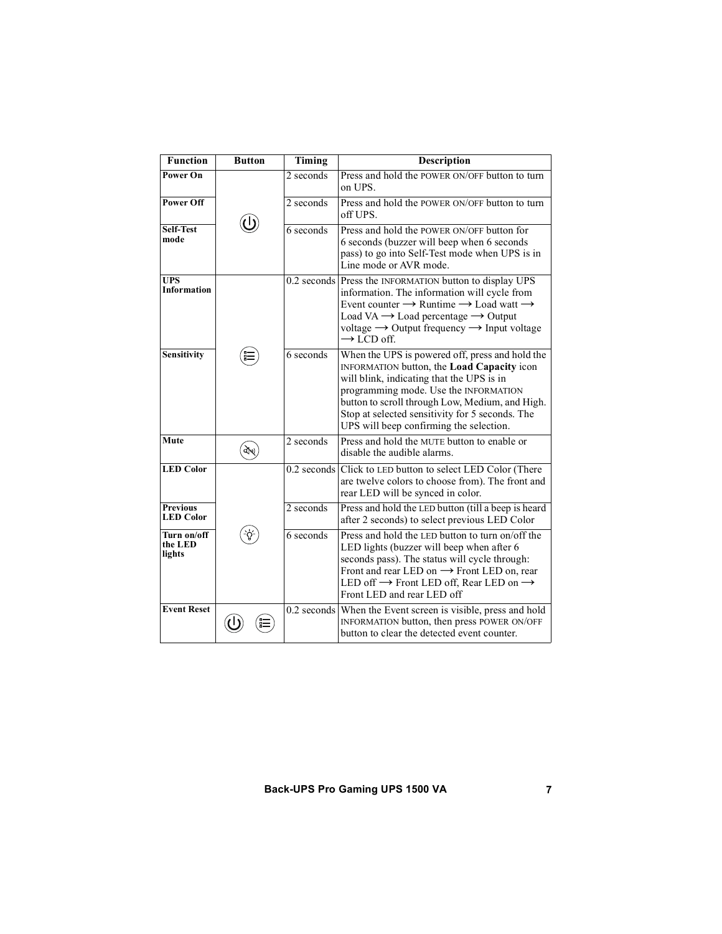| <b>Function</b>                     | <b>Button</b> | Timing      | Description                                                                                                                                                                                                                                                                                                                                        |
|-------------------------------------|---------------|-------------|----------------------------------------------------------------------------------------------------------------------------------------------------------------------------------------------------------------------------------------------------------------------------------------------------------------------------------------------------|
| Power On                            |               | 2 seconds   | Press and hold the POWER ON/OFF button to turn<br>on UPS.                                                                                                                                                                                                                                                                                          |
| <b>Power Off</b>                    |               | 2 seconds   | Press and hold the POWER ON/OFF button to turn<br>off UPS.                                                                                                                                                                                                                                                                                         |
| <b>Self-Test</b><br>mode            |               | $6$ seconds | Press and hold the POWER ON/OFF button for<br>6 seconds (buzzer will beep when 6 seconds<br>pass) to go into Self-Test mode when UPS is in<br>Line mode or AVR mode.                                                                                                                                                                               |
| <b>UPS</b><br><b>Information</b>    |               |             | 0.2 seconds Press the INFORMATION button to display UPS<br>information. The information will cycle from<br>Event counter $\rightarrow$ Runtime $\rightarrow$ Load watt $\rightarrow$<br>Load VA $\rightarrow$ Load percentage $\rightarrow$ Output<br>voltage $\rightarrow$ Output frequency $\rightarrow$ Input voltage<br>$\rightarrow$ LCD off. |
| <b>Sensitivity</b>                  |               | 6 seconds   | When the UPS is powered off, press and hold the<br>INFORMATION button, the Load Capacity icon<br>will blink, indicating that the UPS is in<br>programming mode. Use the INFORMATION<br>button to scroll through Low, Medium, and High.<br>Stop at selected sensitivity for 5 seconds. The<br>UPS will beep confirming the selection.               |
| Mute                                | ঐখ            | 2 seconds   | Press and hold the MUTE button to enable or<br>disable the audible alarms.                                                                                                                                                                                                                                                                         |
| <b>LED Color</b>                    |               |             | 0.2 seconds Click to LED button to select LED Color (There<br>are twelve colors to choose from). The front and<br>rear LED will be synced in color.                                                                                                                                                                                                |
| <b>Previous</b><br><b>LED Color</b> |               | 2 seconds   | Press and hold the LED button (till a beep is heard<br>after 2 seconds) to select previous LED Color                                                                                                                                                                                                                                               |
| Turn on/off<br>the LED<br>lights    |               | 6 seconds   | Press and hold the LED button to turn on/off the<br>LED lights (buzzer will beep when after 6<br>seconds pass). The status will cycle through:<br>Front and rear LED on $\rightarrow$ Front LED on, rear<br>LED off $\rightarrow$ Front LED off, Rear LED on $\rightarrow$<br>Front LED and rear LED off                                           |
| <b>Event Reset</b>                  |               |             | 0.2 seconds When the Event screen is visible, press and hold<br>INFORMATION button, then press POWER ON/OFF<br>button to clear the detected event counter.                                                                                                                                                                                         |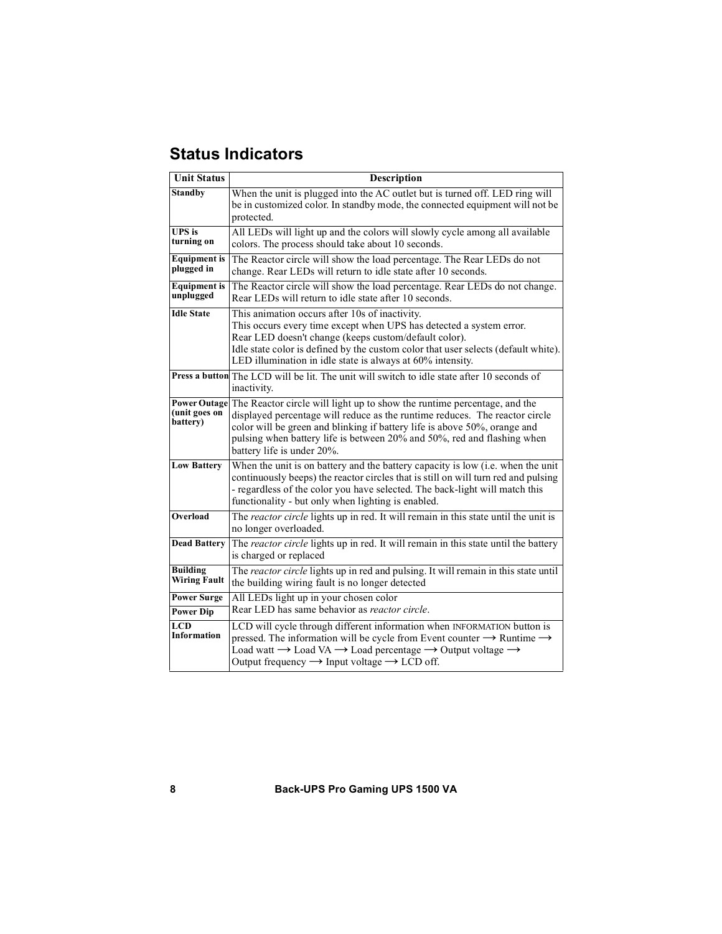# **Status Indicators**

| <b>Unit Status</b>                     | Description                                                                                                                                                                                                                                                                                                                                                 |  |
|----------------------------------------|-------------------------------------------------------------------------------------------------------------------------------------------------------------------------------------------------------------------------------------------------------------------------------------------------------------------------------------------------------------|--|
| <b>Standby</b>                         | When the unit is plugged into the AC outlet but is turned off. LED ring will<br>be in customized color. In standby mode, the connected equipment will not be<br>protected.                                                                                                                                                                                  |  |
| UPS is<br>turning on                   | All LEDs will light up and the colors will slowly cycle among all available<br>colors. The process should take about 10 seconds.                                                                                                                                                                                                                            |  |
| <b>Equipment</b> is<br>plugged in      | The Reactor circle will show the load percentage. The Rear LEDs do not<br>change. Rear LEDs will return to idle state after 10 seconds.                                                                                                                                                                                                                     |  |
| <b>Equipment</b> is<br>unplugged       | The Reactor circle will show the load percentage. Rear LEDs do not change.<br>Rear LEDs will return to idle state after 10 seconds.                                                                                                                                                                                                                         |  |
| <b>Idle State</b>                      | This animation occurs after 10s of inactivity.<br>This occurs every time except when UPS has detected a system error.<br>Rear LED doesn't change (keeps custom/default color).<br>Idle state color is defined by the custom color that user selects (default white).<br>LED illumination in idle state is always at 60% intensity.                          |  |
|                                        | Press a button The LCD will be lit. The unit will switch to idle state after 10 seconds of<br>inactivity.                                                                                                                                                                                                                                                   |  |
| (unit goes on<br>battery)              | Power Outage The Reactor circle will light up to show the runtime percentage, and the<br>displayed percentage will reduce as the runtime reduces. The reactor circle<br>color will be green and blinking if battery life is above 50%, orange and<br>pulsing when battery life is between 20% and 50%, red and flashing when<br>battery life is under 20%.  |  |
| <b>Low Battery</b>                     | When the unit is on battery and the battery capacity is low (i.e. when the unit<br>continuously beeps) the reactor circles that is still on will turn red and pulsing<br>- regardless of the color you have selected. The back-light will match this<br>functionality - but only when lighting is enabled.                                                  |  |
| Overload                               | The reactor circle lights up in red. It will remain in this state until the unit is<br>no longer overloaded.                                                                                                                                                                                                                                                |  |
| <b>Dead Battery</b>                    | The reactor circle lights up in red. It will remain in this state until the battery<br>is charged or replaced                                                                                                                                                                                                                                               |  |
| Building<br>Wiring Fault               | The reactor circle lights up in red and pulsing. It will remain in this state until<br>the building wiring fault is no longer detected                                                                                                                                                                                                                      |  |
| <b>Power Surge</b><br><b>Power Dip</b> | All LEDs light up in your chosen color<br>Rear LED has same behavior as reactor circle.                                                                                                                                                                                                                                                                     |  |
| LCD<br>Information                     | LCD will cycle through different information when INFORMATION button is<br>pressed. The information will be cycle from Event counter $\rightarrow$ Runtime $\rightarrow$<br>Load watt $\rightarrow$ Load VA $\rightarrow$ Load percentage $\rightarrow$ Output voltage $\rightarrow$<br>Output frequency $\rightarrow$ Input voltage $\rightarrow$ LCD off. |  |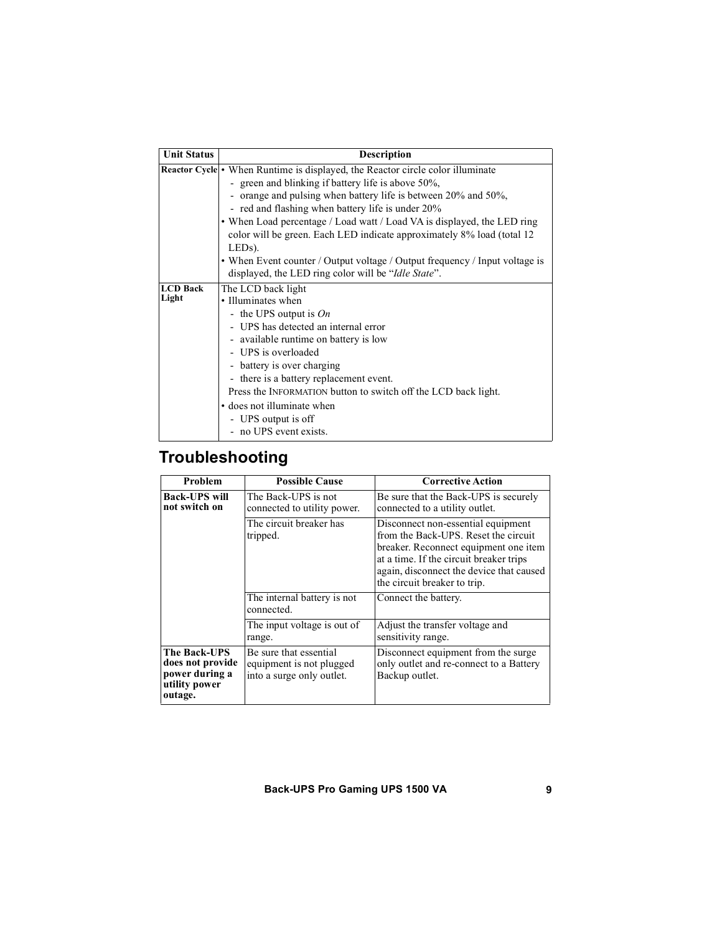| <b>Unit Status</b> | <b>Description</b>                                                             |
|--------------------|--------------------------------------------------------------------------------|
|                    | Reactor Cycle • When Runtime is displayed, the Reactor circle color illuminate |
|                    | - green and blinking if battery life is above 50%,                             |
|                    | orange and pulsing when battery life is between 20% and 50%,                   |
|                    | - red and flashing when battery life is under 20%                              |
|                    | • When Load percentage / Load watt / Load VA is displayed, the LED ring        |
|                    | color will be green. Each LED indicate approximately 8% load (total 12)        |
|                    | $LEDs$ ).                                                                      |
|                    | • When Event counter / Output voltage / Output frequency / Input voltage is    |
|                    | displayed, the LED ring color will be "Idle State".                            |
| <b>LCD</b> Back    | The LCD back light                                                             |
| Light              | • Illuminates when                                                             |
|                    | - the UPS output is $On$                                                       |
|                    | - UPS has detected an internal error                                           |
|                    | - available runtime on battery is low                                          |
|                    | - UPS is overloaded                                                            |
|                    | - battery is over charging                                                     |
|                    | - there is a battery replacement event.                                        |
|                    | Press the INFORMATION button to switch off the LCD back light.                 |
|                    | • does not illuminate when                                                     |
|                    | - UPS output is off                                                            |
|                    | - no UPS event exists.                                                         |

# **Troubleshooting**

| Problem                                                                               | <b>Possible Cause</b>                                                           | <b>Corrective Action</b>                                                                                                                                                                                                                   |
|---------------------------------------------------------------------------------------|---------------------------------------------------------------------------------|--------------------------------------------------------------------------------------------------------------------------------------------------------------------------------------------------------------------------------------------|
| <b>Back-UPS will</b><br>not switch on                                                 | The Back-UPS is not<br>connected to utility power.                              | Be sure that the Back-UPS is securely<br>connected to a utility outlet.                                                                                                                                                                    |
|                                                                                       | The circuit breaker has<br>tripped.                                             | Disconnect non-essential equipment<br>from the Back-UPS. Reset the circuit<br>breaker. Reconnect equipment one item<br>at a time. If the circuit breaker trips<br>again, disconnect the device that caused<br>the circuit breaker to trip. |
|                                                                                       | The internal battery is not<br>connected.                                       | Connect the battery.                                                                                                                                                                                                                       |
|                                                                                       | The input voltage is out $of$<br>range.                                         | Adjust the transfer voltage and<br>sensitivity range.                                                                                                                                                                                      |
| <b>The Back-UPS</b><br>does not provide<br>power during a<br>utility power<br>outage. | Be sure that essential<br>equipment is not plugged<br>into a surge only outlet. | Disconnect equipment from the surge.<br>only outlet and re-connect to a Battery<br>Backup outlet.                                                                                                                                          |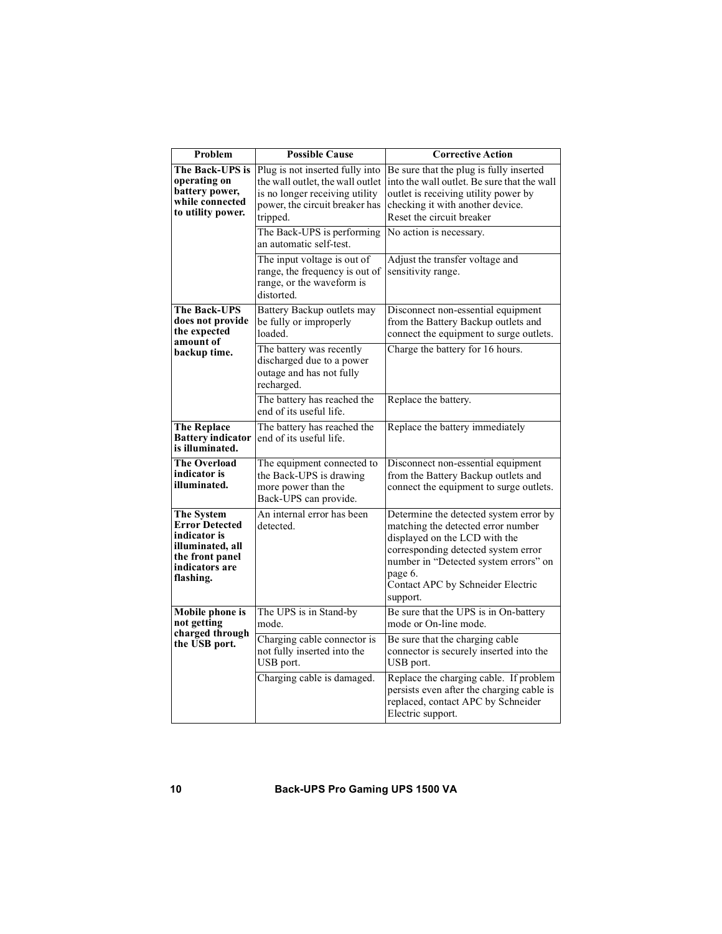| Problem<br><b>Possible Cause</b>                                                                                            |                                                                                                                                                     | <b>Corrective Action</b>                                                                                                                                                                                                                                  |
|-----------------------------------------------------------------------------------------------------------------------------|-----------------------------------------------------------------------------------------------------------------------------------------------------|-----------------------------------------------------------------------------------------------------------------------------------------------------------------------------------------------------------------------------------------------------------|
| The Back-UPS is<br>operating on<br>battery power,<br>while connected<br>to utility power.                                   | Plug is not inserted fully into<br>the wall outlet, the wall outlet<br>is no longer receiving utility<br>power, the circuit breaker has<br>tripped. | Be sure that the plug is fully inserted<br>into the wall outlet. Be sure that the wall<br>outlet is receiving utility power by<br>checking it with another device.<br>Reset the circuit breaker                                                           |
|                                                                                                                             | The Back-UPS is performing<br>an automatic self-test.                                                                                               | No action is necessary.                                                                                                                                                                                                                                   |
|                                                                                                                             | The input voltage is out of<br>range, the frequency is out of<br>range, or the waveform is<br>distorted.                                            | Adjust the transfer voltage and<br>sensitivity range.                                                                                                                                                                                                     |
| <b>The Back-UPS</b><br>does not provide<br>the expected<br>amount of                                                        | Battery Backup outlets may<br>be fully or improperly<br>loaded.                                                                                     | Disconnect non-essential equipment<br>from the Battery Backup outlets and<br>connect the equipment to surge outlets.                                                                                                                                      |
| backup time.                                                                                                                | The battery was recently<br>discharged due to a power<br>outage and has not fully<br>recharged.                                                     | Charge the battery for 16 hours.                                                                                                                                                                                                                          |
|                                                                                                                             | The battery has reached the<br>end of its useful life.                                                                                              | Replace the battery.                                                                                                                                                                                                                                      |
| The battery has reached the<br><b>The Replace</b><br><b>Battery indicator</b><br>end of its useful life.<br>is illuminated. |                                                                                                                                                     | Replace the battery immediately                                                                                                                                                                                                                           |
| The Overload<br>indicator is<br>illuminated.                                                                                | The equipment connected to<br>the Back-UPS is drawing<br>more power than the<br>Back-UPS can provide.                                               | Disconnect non-essential equipment<br>from the Battery Backup outlets and<br>connect the equipment to surge outlets.                                                                                                                                      |
| The System<br><b>Error Detected</b><br>indicator is<br>illuminated, all<br>the front panel<br>indicators are<br>flashing.   | An internal error has been<br>detected.                                                                                                             | Determine the detected system error by<br>matching the detected error number<br>displayed on the LCD with the<br>corresponding detected system error<br>number in "Detected system errors" on<br>page 6.<br>Contact APC by Schneider Electric<br>support. |
| <b>Mobile phone is</b><br>not getting                                                                                       | The UPS is in Stand-by<br>mode.                                                                                                                     | Be sure that the UPS is in On-battery<br>mode or On-line mode.                                                                                                                                                                                            |
| charged through<br>the USB port.                                                                                            | Charging cable connector is<br>not fully inserted into the<br>USB port.                                                                             | Be sure that the charging cable<br>connector is securely inserted into the<br>USB port.                                                                                                                                                                   |
|                                                                                                                             | Charging cable is damaged.                                                                                                                          | Replace the charging cable. If problem<br>persists even after the charging cable is<br>replaced, contact APC by Schneider<br>Electric support.                                                                                                            |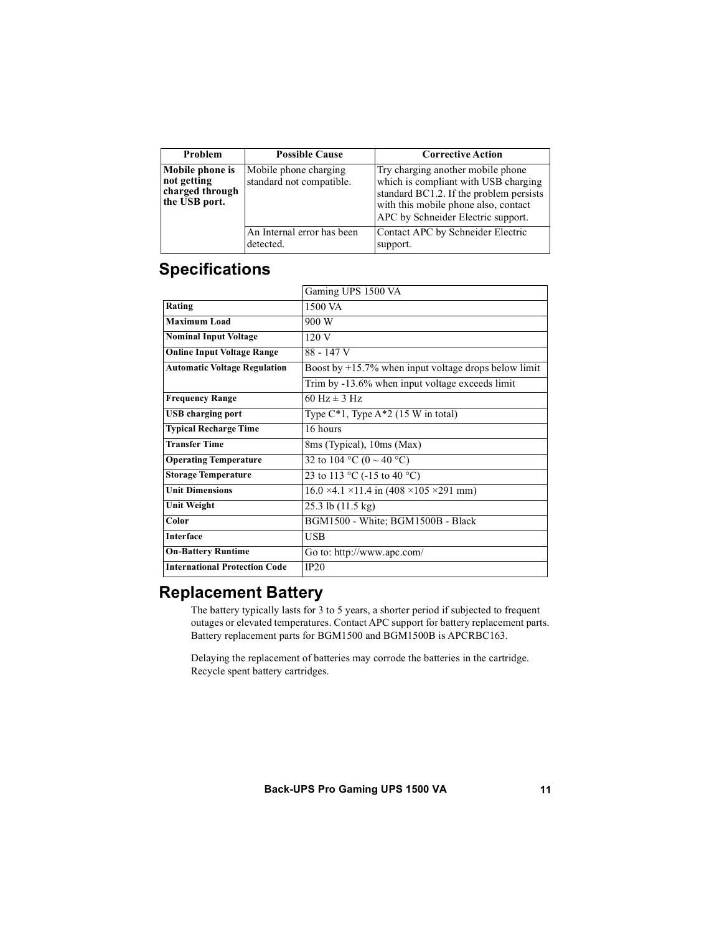| Problem                                                            | <b>Possible Cause</b>                             | <b>Corrective Action</b>                                                                                                                                                                           |
|--------------------------------------------------------------------|---------------------------------------------------|----------------------------------------------------------------------------------------------------------------------------------------------------------------------------------------------------|
| Mobile phone is<br>not getting<br>charged through<br>the USB port. | Mobile phone charging<br>standard not compatible. | Try charging another mobile phone<br>which is compliant with USB charging<br>standard BC1.2. If the problem persists<br>with this mobile phone also, contact<br>APC by Schneider Electric support. |
|                                                                    | An Internal error has been<br>detected.           | Contact APC by Schneider Electric<br>support.                                                                                                                                                      |

### **Specifications**

|                                      | Gaming UPS 1500 VA                                                |
|--------------------------------------|-------------------------------------------------------------------|
| Rating                               | 1500 VA                                                           |
| <b>Maximum Load</b>                  | 900 W                                                             |
| <b>Nominal Input Voltage</b>         | 120V                                                              |
| <b>Online Input Voltage Range</b>    | 88 - 147 V                                                        |
| <b>Automatic Voltage Regulation</b>  | Boost by $+15.7\%$ when input voltage drops below limit           |
|                                      | Trim by -13.6% when input voltage exceeds limit                   |
| <b>Frequency Range</b>               | 60 Hz $\pm$ 3 Hz                                                  |
| <b>USB</b> charging port             | Type $C^*1$ , Type A $*2$ (15 W in total)                         |
| <b>Typical Recharge Time</b>         | 16 hours                                                          |
| <b>Transfer Time</b>                 | 8ms (Typical), 10ms (Max)                                         |
| <b>Operating Temperature</b>         | 32 to 104 °C (0 ~ 40 °C)                                          |
| <b>Storage Temperature</b>           | 23 to 113 °C (-15 to 40 °C)                                       |
| <b>Unit Dimensions</b>               | $16.0 \times 4.1 \times 11.4$ in $(408 \times 105 \times 291$ mm) |
| <b>Unit Weight</b>                   | 25.3 lb (11.5 kg)                                                 |
| Color                                | BGM1500 - White; BGM1500B - Black                                 |
| <b>Interface</b>                     | USB                                                               |
| <b>On-Battery Runtime</b>            | Go to: http://www.apc.com/                                        |
| <b>International Protection Code</b> | IP20                                                              |

### **Replacement Battery**

The battery typically lasts for 3 to 5 years, a shorter period if subjected to frequent outages or elevated temperatures. Contact APC support for battery replacement parts. Battery replacement parts for BGM1500 and BGM1500B is APCRBC163.

Delaying the replacement of batteries may corrode the batteries in the cartridge. Recycle spent battery cartridges.